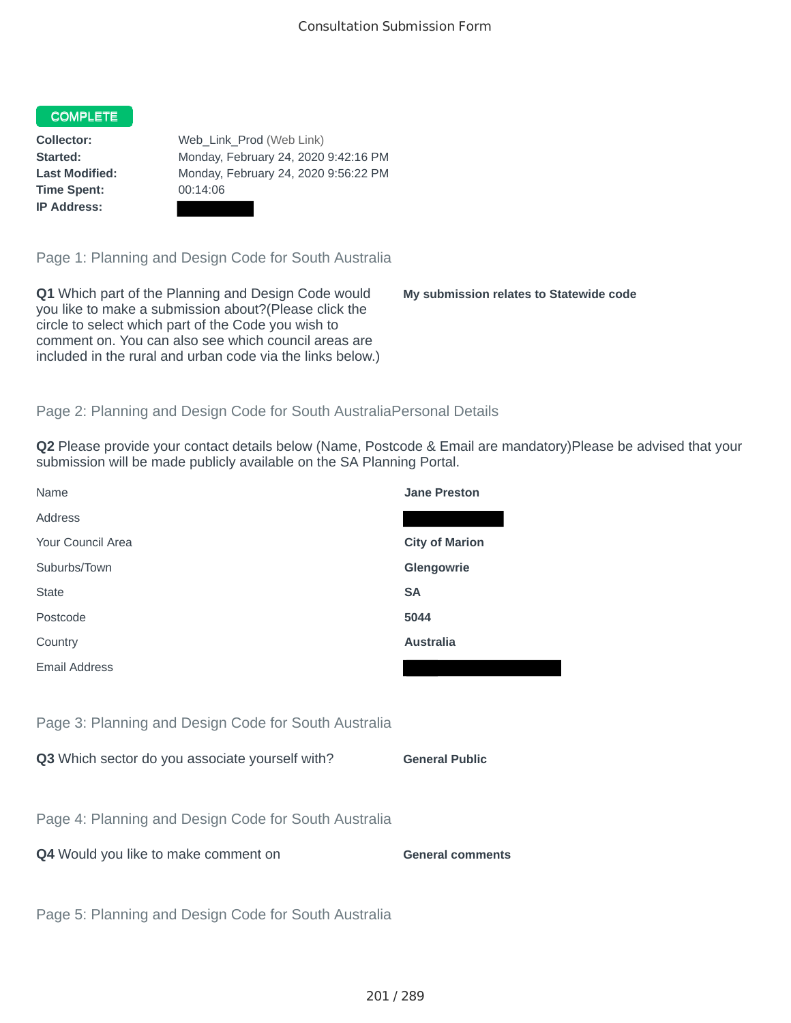## COMPLETE

**Time Spent:** 00:14:06 **IP Address:**

**Collector:** Web\_Link\_Prod (Web Link) **Started:** Monday, February 24, 2020 9:42:16 PM **Last Modified:** Monday, February 24, 2020 9:56:22 PM

Page 1: Planning and Design Code for South Australia

**Q1** Which part of the Planning and Design Code would you like to make a submission about?(Please click the circle to select which part of the Code you wish to comment on. You can also see which council areas are included in the rural and urban code via the links below.)

**My submission relates to Statewide code**

## Page 2: Planning and Design Code for South AustraliaPersonal Details

**Q2** Please provide your contact details below (Name, Postcode & Email are mandatory)Please be advised that your submission will be made publicly available on the SA Planning Portal.

| Name                                                 | <b>Jane Preston</b>     |
|------------------------------------------------------|-------------------------|
| Address                                              |                         |
| Your Council Area                                    | <b>City of Marion</b>   |
| Suburbs/Town                                         | Glengowrie              |
| <b>State</b>                                         | <b>SA</b>               |
| Postcode                                             | 5044                    |
| Country                                              | <b>Australia</b>        |
| <b>Email Address</b>                                 |                         |
|                                                      |                         |
| Page 3: Planning and Design Code for South Australia |                         |
| Q3 Which sector do you associate yourself with?      | <b>General Public</b>   |
|                                                      |                         |
| Page 4: Planning and Design Code for South Australia |                         |
| Q4 Would you like to make comment on                 | <b>General comments</b> |
|                                                      |                         |
| Page 5: Planning and Design Code for South Australia |                         |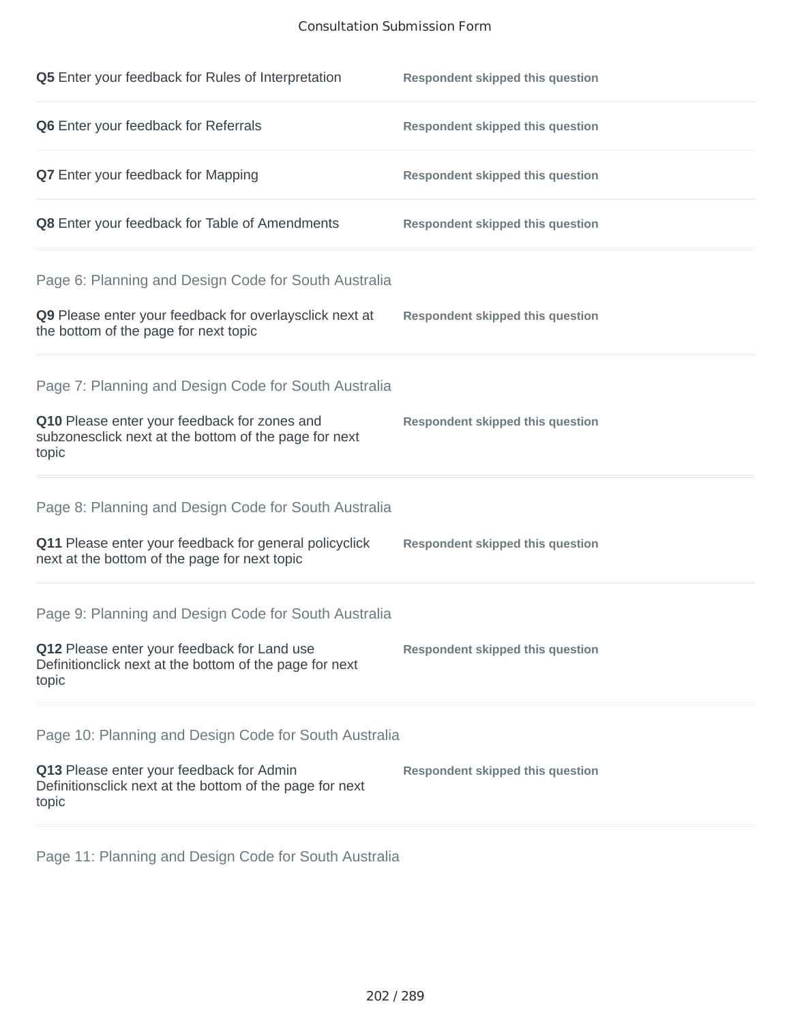## Consultation Submission Form

| Q5 Enter your feedback for Rules of Interpretation                                                              | <b>Respondent skipped this question</b> |
|-----------------------------------------------------------------------------------------------------------------|-----------------------------------------|
| Q6 Enter your feedback for Referrals                                                                            | <b>Respondent skipped this question</b> |
| <b>Q7</b> Enter your feedback for Mapping                                                                       | <b>Respondent skipped this question</b> |
| Q8 Enter your feedback for Table of Amendments                                                                  | <b>Respondent skipped this question</b> |
| Page 6: Planning and Design Code for South Australia                                                            |                                         |
| Q9 Please enter your feedback for overlaysclick next at<br>the bottom of the page for next topic                | <b>Respondent skipped this question</b> |
| Page 7: Planning and Design Code for South Australia                                                            |                                         |
| Q10 Please enter your feedback for zones and<br>subzonesclick next at the bottom of the page for next<br>topic  | <b>Respondent skipped this question</b> |
| Page 8: Planning and Design Code for South Australia                                                            |                                         |
| Q11 Please enter your feedback for general policyclick<br>next at the bottom of the page for next topic         | <b>Respondent skipped this question</b> |
| Page 9: Planning and Design Code for South Australia                                                            |                                         |
| Q12 Please enter your feedback for Land use<br>Definitionclick next at the bottom of the page for next<br>topic | <b>Respondent skipped this question</b> |
| Page 10: Planning and Design Code for South Australia                                                           |                                         |
| Q13 Please enter your feedback for Admin<br>Definitionsclick next at the bottom of the page for next<br>topic   | <b>Respondent skipped this question</b> |

Page 11: Planning and Design Code for South Australia